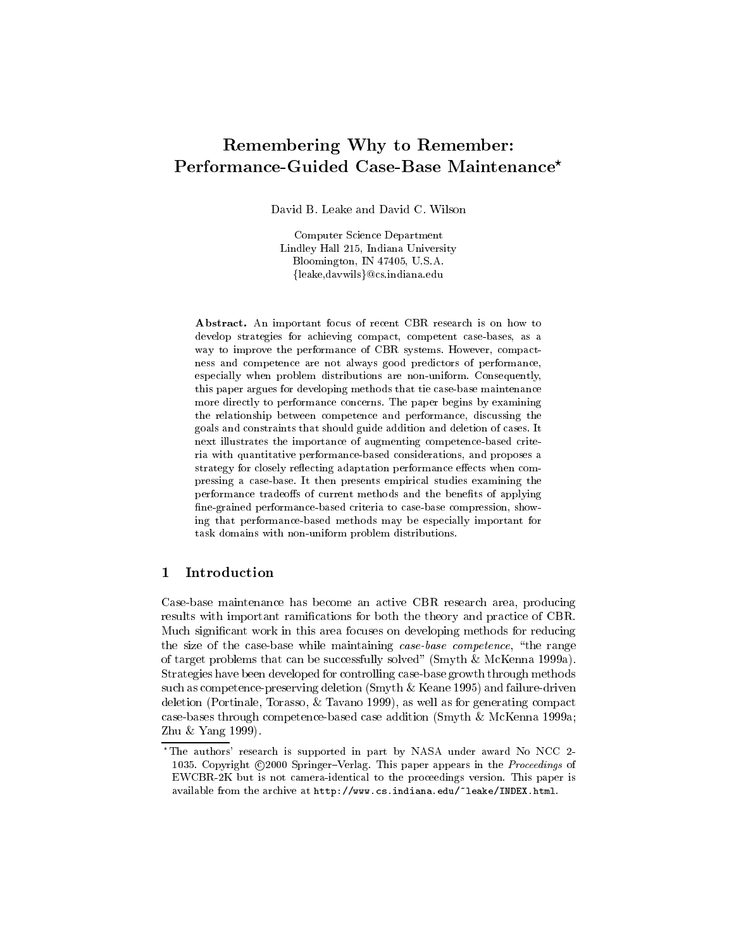# Representative When the Remember of the Remember of the Remember of the Remember of the Remember of the Remember of the Remember of the Remember of the Remember of the Remember of the Remember of the Remember of the Rememb Performance-Guided Case-Base Maintenance?

David B. Leake and David C. Wilson

Computer Science Department Lindley Hall 215, Indiana University Bloomington, IN 47405, U.S.A. {leake,davwils}@cs.indiana.edu

Abstract. An important focus of recent CBR research is on how to develop strategies for achieving compact, competent case-bases, as a way to improve the performance of CBR systems. However, compact ness and competence are not always good predictors of performance, especially when problem distributions are non-uniform. Consequently, this paper argues for developing methods that tie case-base maintenance more directly to performance concerns. The paper begins by examining the relationship between competence and performance, discussing the goals and constraints that should guide addition and deletion of cases. It next illustrates the importance of augmenting competence-based criteria with quantitative performance-based considerations, and proposes a strategy for closely reflecting adaptation performance effects when compressing a case-base. It then presents empirical studies examining the performance tradeoffs of current methods and the benefits of applying fine-grained performance-based criteria to case-base compression, showing that performance-based methods may be especially important for task domains with non-uniform problem distributions.

## 1 Introduction

Case-base maintenance has become an active CBR research area, producing results with important ramications for both the theory and practice of CBR. Much signicant work in this area focuses on developing methods for reducing the size of the case-base while maintaining *case-base competence*, "the range of target problems that can be successfully solved" (Smyth & McKenna 1999a). Strategies have been developed for controlling case-base growth through methods such as competence-preserving deletion (Smyth & Keane 1995) and failure-driven deletion (Portinale, Torasso, & Tavano 1999), as well as for generating compact case-bases through competence-based case addition (Smyth & McKenna 1999a; Zhu&Yang 1999).

<sup>\*</sup>The authors' research is supported in part by NASA under award No NCC 2-1035. Copyright ©2000 Springer-Verlag. This paper appears in the *Proceedings* of EWCBR-2K but is not camera-identical to the proceedings version. This paper is available from the archive at http://www.cs.indiana.edu/~leake/INDEX.html.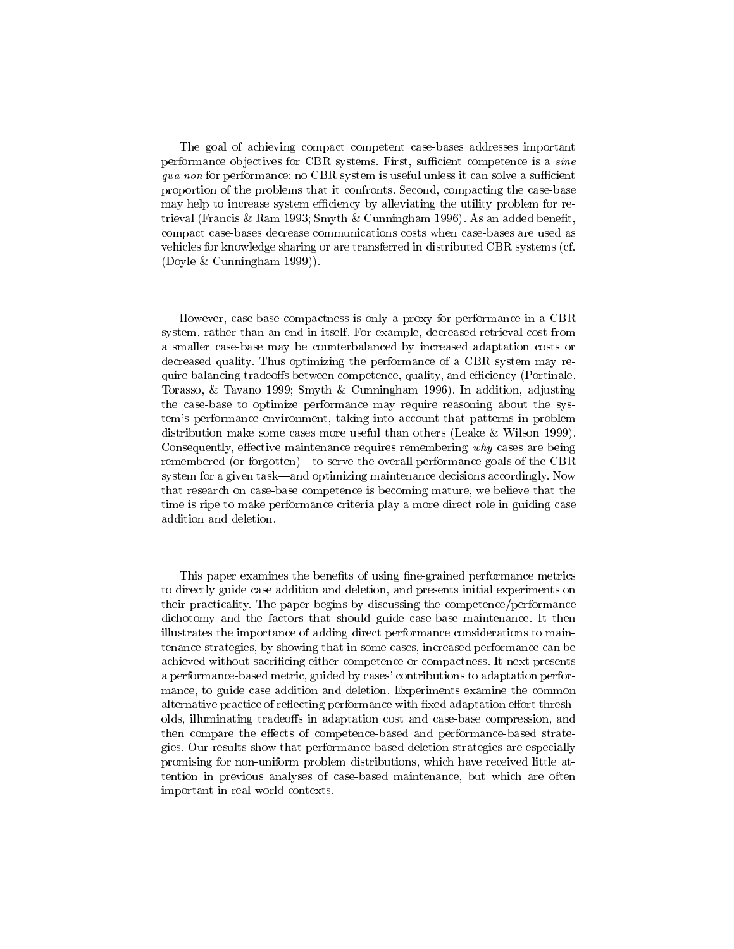The goal of achieving compact competent case-bases addresses important performance objectives for CBR systems. First, sufficient competence is a *sine* qua non for performance: no CBR system is useful unless it can solve a sufficient proportion of the problems that it confronts. Second, compacting the case-base may help to increase system efficiency by alleviating the utility problem for retrieval (Francis & Ram 1993; Smyth & Cunningham 1996). As an added benefit, compact case-bases decrease communications costs when case-bases are used as vehicles for knowledge sharing or are transferred in distributed CBR systems (cf. (Doyle & Cunningham 1999)).

However, case-base compactness is only a proxy for performance in a CBR system, rather than an end in itself. For example, decreased retrieval cost from a smaller case-base may be counterbalanced by increased adaptation costs or decreased quality. Thus optimizing the performance of a CBR system may require balancing tradeoffs between competence, quality, and efficiency (Portinale, Torasso, & Tavano 1999; Smyth & Cunningham 1996). In addition, adjusting the case-base to optimize performance may require reasoning about the system's performance environment, taking into account that patterns in problem distribution make some cases more useful than others (Leake & Wilson 1999). Consequently, effective maintenance requires remembering  $why$  cases are being remembered (or forgotten)—to serve the overall performance goals of the CBR system for a given task—and optimizing maintenance decisions accordingly. Now that research on case-base competence is becoming mature, we believe that the time is ripe to make performance criteria play a more direct role in guiding case addition and deletion.

This paper examines the benefits of using fine-grained performance metrics to directly guide case addition and deletion, and presents initial experiments on their practicality. The paper begins by discussing the competence/performance dichotomy and the factors that should guide case-base maintenance. It then illustrates the importance of adding direct performance considerations to maintenance strategies, by showing that in some cases, increased performance can be achieved without sacrificing either competence or compactness. It next presents a performance-based metric, guided by cases' contributions to adaptation performance, to guide case addition and deletion. Experiments examine the common alternative practice of reflecting performance with fixed adaptation effort thresholds, illuminating tradeoffs in adaptation cost and case-base compression, and then compare the effects of competence-based and performance-based strategies. Our results show that performance-based deletion strategies are especially promising for non-uniform problem distributions, which have received little attention in previous analyses of case-based maintenance, but which are often important in real-world contexts.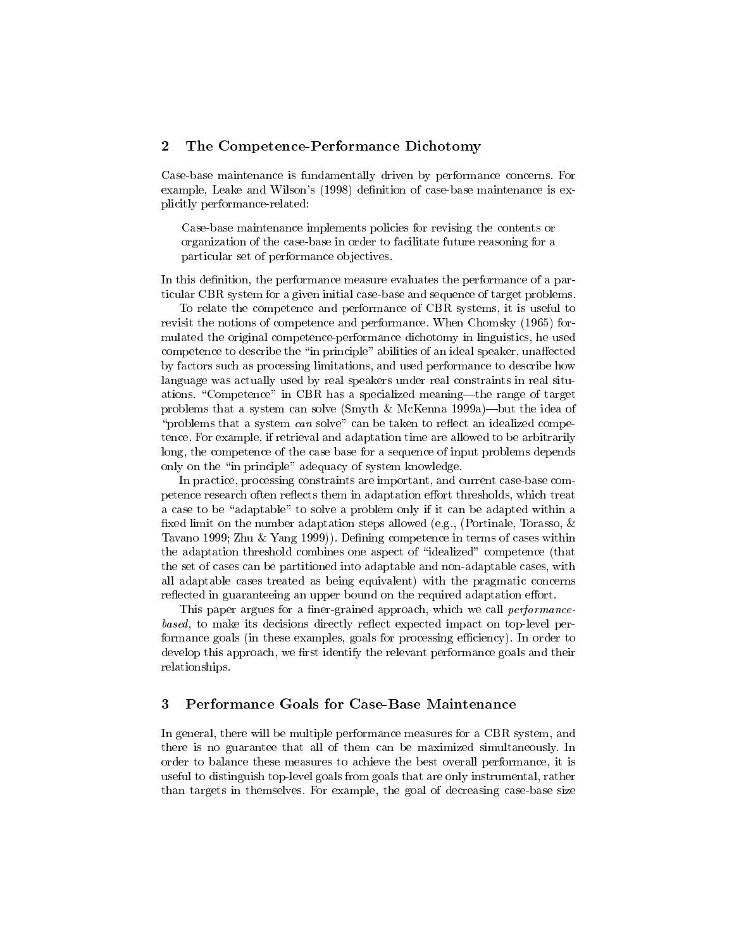## 2 The Competence-Performance Dichotomy

Case-base maintenance is fundamentally driven by performance concerns. For example, Leake and Wilson's (1998) definition of case-base maintenance is explicitly performance-related:

Case-base maintenance implements policies for revising the contents or organization of the case-base in order to facilitate future reasoning for a particular set of performance ob jectives.

In this definition, the performance measure evaluates the performance of a particular CBR system for a given initial case-base and sequence of target problems.

To relate the competence and performance of CBR systems, it is useful to revisit the notions of competence and performance. When Chomsky (1965) for mulated the original competence-performance dichotomy in linguistics, he used competence to describe the "in principle" abilities of an ideal speaker, unaffected by factors such as processing limitations, and used performance to describe how language was actually used by real speakers under real constraints in real situations. "Competence" in CBR has a specialized meaning—the range of target problems that a system can solve (Smyth & McKenna 1999a)—but the idea of "problems that a system  $can$  solve" can be taken to reflect an idealized competence. For example, if retrieval and adaptation time are allowed to be arbitrarily long, the competence of the case base for a sequence of input problems depends only on the "in principle" adequacy of system knowledge.

In practice, processing constraints are important, and current case-base competence research often reflects them in adaptation effort thresholds, which treat a case to be "adaptable" to solve a problem only if it can be adapted within a fixed limit on the number adaptation steps allowed (e.g., (Portinale, Torasso, & Tavano 1999; Zhu  $\&$  Yang 1999)). Defining competence in terms of cases within the adaptation threshold combines one aspect of "idealized" competence (that the set of cases can be partitioned into adaptable and non-adaptable cases, with all adaptable cases treated as being equivalent) with the pragmatic concerns reflected in guaranteeing an upper bound on the required adaptation effort.

This paper argues for a finer-grained approach, which we call *performance*based, to make its decisions directly reflect expected impact on top-level performance goals (in these examples, goals for processing efficiency). In order to develop this approach, we first identify the relevant performance goals and their relationships.

### 3 Performance Goals for Case-Base Maintenance

In general, there will be multiple performance measures for a CBR system, and there is no guarantee that all of them canbe maximized simultaneously. In order to balance these measures to achieve the best overall performance, it is useful to distinguish top-level goals from goals that are only instrumental, rather than targets in themselves. For example, the goal of decreasing case-base size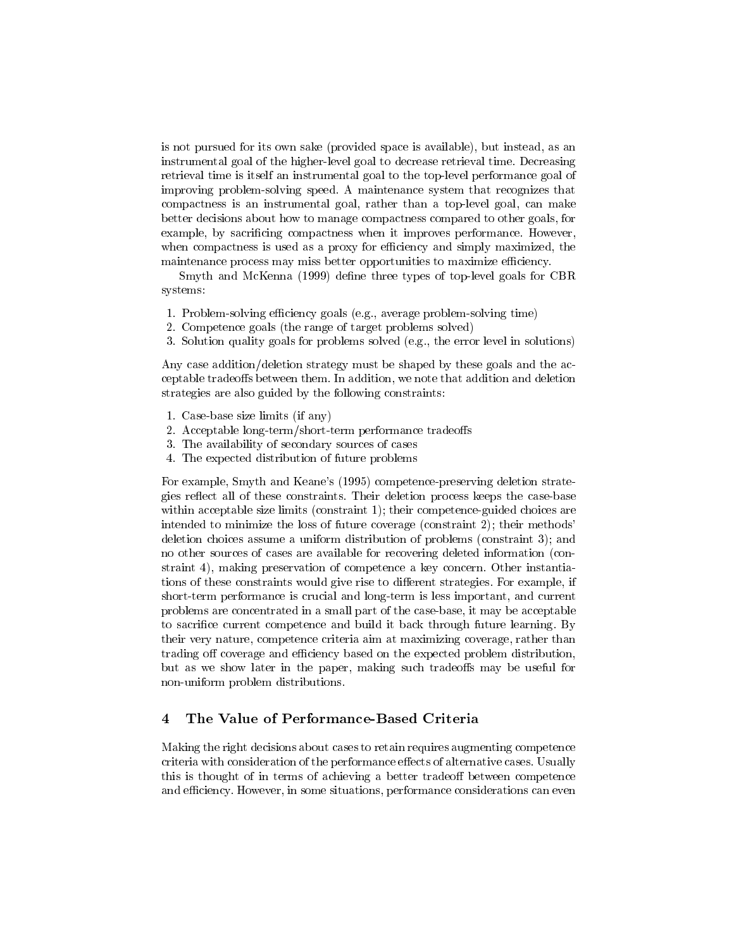is not pursued for its own sake (provided space is available), but instead, as an instrumental goal of the higher-level goal to decrease retrieval time. Decreasing retrieval time is itself an instrumental goal to the top-level performance goal of improving problem-solving speed. A maintenance system that recognizes that compactness is an instrumental goal, rather than a top-level goal, can make better decisions about how to manage compactness compared to other goals, for example, by sacrificing compactness when it improves performance. However, when compactness is used as a proxy for efficiency and simply maximized, the maintenance process may miss better opportunities to maximize efficiency.

Smyth and McKenna (1999) define three types of top-level goals for CBR systems:

- 1. Problem-solving efficiency goals (e.g., average problem-solving time)
- 2. Competence goals (the range of target problems solved)
- 3. Solution quality goals for problems solved (e.g., the error level in solutions)

Any case addition/deletion strategy must be shaped by these goals and the acceptable tradeoffs between them. In addition, we note that addition and deletion strategies are also guided by the following constraints:

- 1. Case-base size limits (if any)
- 2. Acceptable long-term/short-term performance tradeoffs
- 3. The availability of secondary sources of cases
- 4. The expected distribution of future problems

For example, Smyth and Keane's (1995) competence-preserving deletion strategies reflect all of these constraints. Their deletion process keeps the case-base within acceptable size limits (constraint 1); their competence-guided choices are intended to minimize the loss of future coverage (constraint 2); their methods' deletion choices assume a uniform distribution of problems (constraint 3); and no other sources of cases are available for recovering deleted information (constraint 4), making preservation of competence a key concern. Other instantiations of these constraints would give rise to different strategies. For example, if short-term performance is crucial and long-term is less important, and current problems are concentrated in a small part of the case-base, it may be acceptable to sacrifice current competence and build it back through future learning. By their very nature, competence criteria aim at maximizing coverage, rather than trading off coverage and efficiency based on the expected problem distribution, but as we show later in the paper, making such tradeoffs may be useful for non-uniform problem distributions.

#### The Value of Performance-Based Criteria  $\overline{\mathbf{4}}$

Making the right decisions about cases to retain requires augmenting competence criteria with consideration of the performance effects of alternative cases. Usually this is thought of in terms of achieving a better tradeoff between competence and efficiency. However, in some situations, performance considerations can even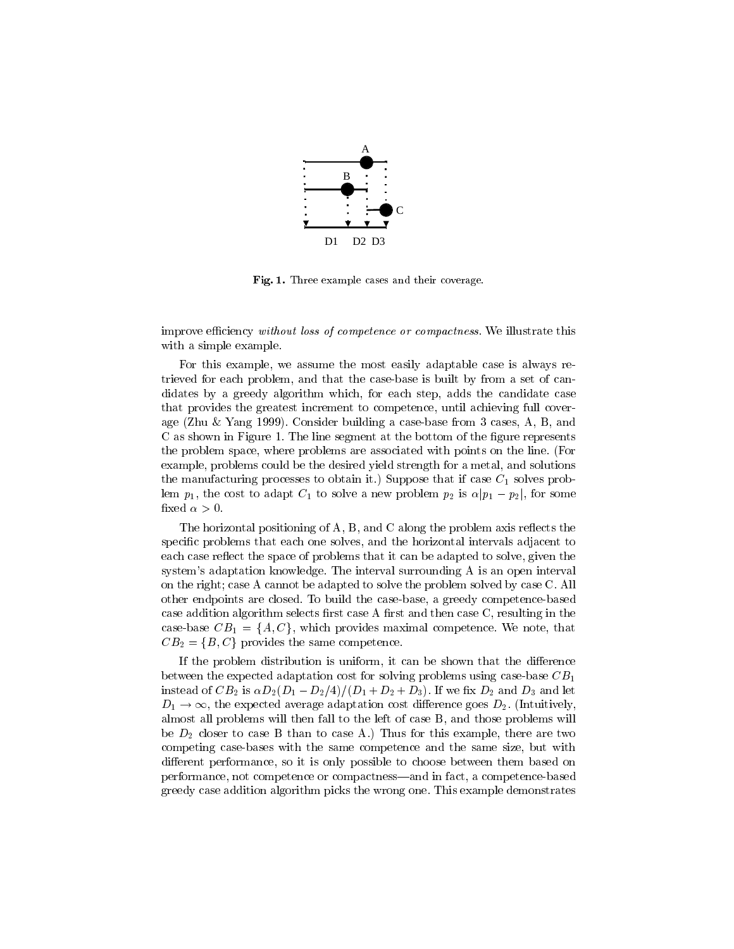

Fig. 1. Three example cases and their coverage.

improve efficiency without loss of competence or compactness. We illustrate this with a simple example.

For this example, we assume the most easily adaptable case is always retrieved for each problem, and that the case-base is built by from a set of candidates by a greedy algorithm which, for each step, adds the candidate case that provides the greatest increment to competence, until achieving full coverage (Zhu&Yang 1999). Consider building a case-base from 3 cases, A, B, and C as shown in Figure 1. The line segment at the bottom of the figure represents the problem space, where problems are associated with points on the line. (For example, problems could be the desired yield strength for a metal, and solutions the manufacturing processes to obtain it.) Suppose that if case  $C_1$  solves problem  $p_1$ , the cost to adapt  $C_1$  to solve a new problem  $p_2$  is  $\alpha|p_1 - p_2|$ , for some fixed  $\alpha > 0$ .

The horizontal positioning of  $A$ ,  $B$ , and  $C$  along the problem axis reflects the specific problems that each one solves, and the horizontal intervals adjacent to each case reflect the space of problems that it can be adapted to solve, given the system's adaptation knowledge. The interval surrounding A is an open interval on the right; case A cannot be adapted to solve the problem solved by case C. All other endpoints are closed. To build the case-base, a greedy competence-based case addition algorithm selects first case A first and then case C, resulting in the case-base  $CB_1 = \{A, C\}$ , which provides maximal competence. We note, that  $CB_2 = \{B, C\}$  provides the same competence.

If the problem distribution is uniform, it can be shown that the difference between the expected adaptation cost for solving problems using case-base  $CB_1$ instead of  $CB_2$  is  $\alpha D_2(D_1 - D_2/4)/(D_1 + D_2 + D_3)$ . If we fix  $D_2$  and  $D_3$  and let  $D_1 \rightarrow \infty$ , the expected average adaptation cost difference goes  $D_2$ . (Intuitively, almost all problems will then fall to the left of case B, and those problems will be  $D_2$  closer to case B than to case A.) Thus for this example, there are two competing case-bases with the same competence and the same size, but with different performance, so it is only possible to choose between them based on performance, not competence or compactness—and in fact, a competence-based greedy case addition algorithm picks the wrong one. This example demonstrates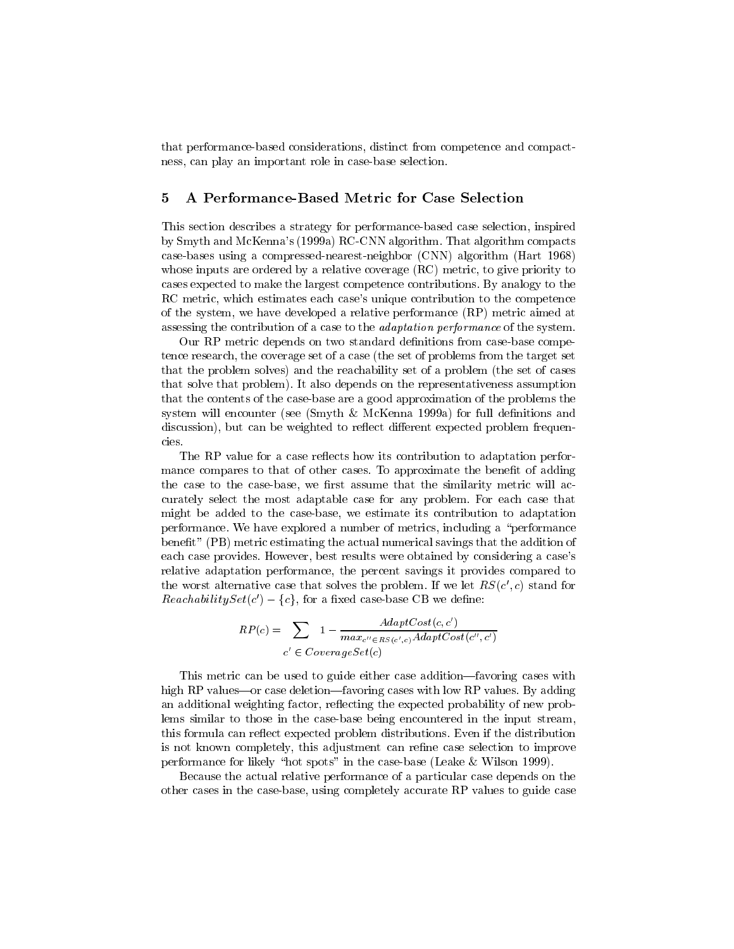that performance-based considerations, distinct from competence and compactness, can play an important role in case-base selection.

### 5 A Performance-Based Metric for Case Selection

This section describes a strategy for performance-based case selection, inspired by Smyth and McKenna's (1999a) RC-CNN algorithm. That algorithm compacts case-bases using a compressed-nearest-neighbor (CNN) algorithm (Hart 1968) whose inputs are ordered by a relative coverage  $(RC)$  metric, to give priority to cases expected to make the largest competence contributions. By analogy to the RC metric, which estimates each case's unique contribution to the competence of the system, we have developed a relative performance (RP) metric aimed at assessing the contribution of a case to the adaptation performance of the system.

Our RP metric depends on two standard definitions from case-base competence research, the coverage set of a case (the set of problems from the target set that the problem solves) and the reachability set of a problem (the set of cases that solve that problem). It also depends on the representativeness assumption that the contents of the case-base are a good approximation of the problems the system will encounter (see  $(Smyth \& MeKenna 1999a)$  for full definitions and discussion), but can be weighted to reflect different expected problem frequencies.

The RP value for a case reflects how its contribution to adaptation performance compares to that of other cases. To approximate the benefit of adding the case to the case-base, we first assume that the similarity metric will accurately select the most adaptable case for any problem. For each case that might be added to the case-base, we estimate its contribution to adaptation performance. We have explored a number of metrics, including a \performance benefit" (PB) metric estimating the actual numerical savings that the addition of each case provides. However, best results were obtained by considering a case's relative adaptation performance, the percent savings it provides compared to the worst alternative case that solves the problem. If we let  $R$  $\mathcal{S}(c|c)$  stand for  $ReachabilitySet(c') - \{c\}$ , for a fixed case-base CB we define:

$$
RP(c) = \sum_{c'} 1 - \frac{AdaptCost(c, c')}{max_{c'' \in RS(c', c)}AdaptCost(c'', c')}
$$

This metric can be used to guide either case addition—favoring cases with high RP values—or case deletion—favoring cases with low RP values. By adding an additional weighting factor, reflecting the expected probability of new problems similar to those in the case-base being encountered in the input stream, this formula can reflect expected problem distributions. Even if the distribution is not known completely, this adjustment can refine case selection to improve performance for likely "hot spots" in the case-base (Leake  $\&$  Wilson 1999).

Because the actual relative performance of a particular case depends on the other cases in the case-base, using completely accurate RP values to guide case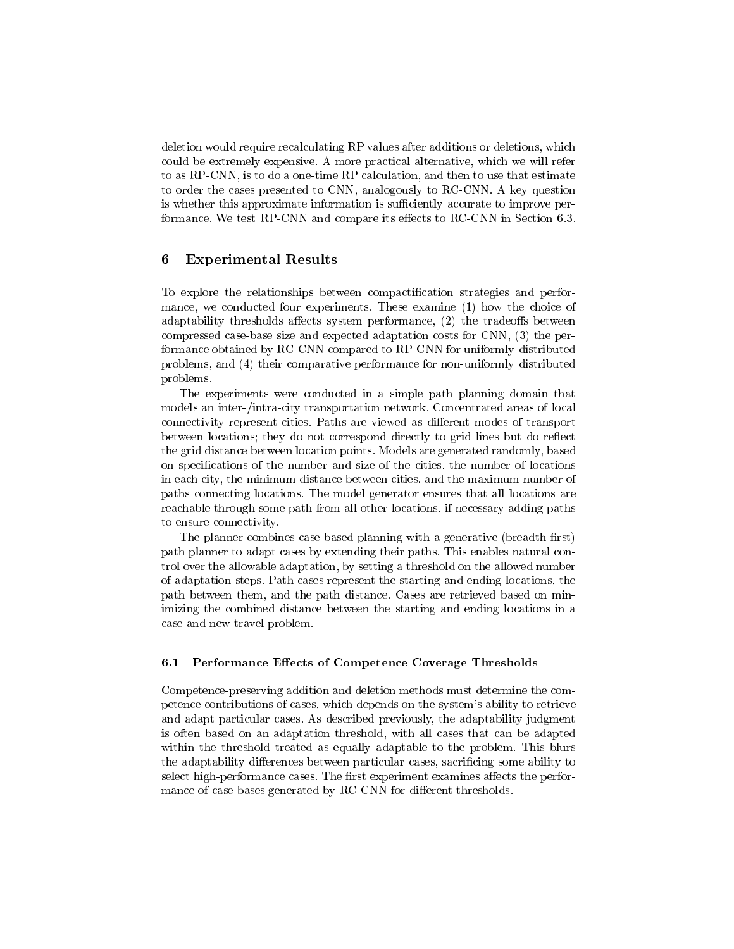deletion would require recalculating RP values after additions or deletions, which could be extremely expensive. A more practical alternative, which we will refer to as RP-CNN, is to do a one-time RP calculation, and then to use that estimate to order the cases presented to CNN, analogously to RC-CNN. A key question is whether this approximate information is sufficiently accurate to improve performance. We test RP-CNN and compare its effects to RC-CNN in Section  $6.3$ .

#### 6 Experimental Results 6

To explore the relationships between compactication strategies and performance, we conducted four experiments. These examine (1) how the choice of adaptability thresholds affects system performance,  $(2)$  the tradeoffs between compressed case-base size and expected adaptation costs for CNN, (3) the performance obtained by RC-CNN compared to RP-CNN for uniformly-distributed problems, and (4) their comparative performance for non-uniformly distributed problems.

The experiments were conducted in a simple path planning domain that models an inter-/intra-city transportation network. Concentrated areas of local connectivity represent cities. Paths are viewed as different modes of transport between locations; they do not correspond directly to grid lines but do reflect the grid distance between location points. Models are generated randomly, based on specications of the number and size of the cities, the number of locations in each city, the minimum distance between cities, and the maximum number of paths connecting locations. The model generator ensures that all locations are reachable through some path from all other locations, if necessary adding paths to ensure connectivity.

The planner combines case-based planning with a generative (breadth-first) path planner to adapt cases by extending their paths. This enables natural control over the allowable adaptation, by setting a threshold on the allowed number of adaptation steps. Path cases represent the starting and ending locations, the path between them, and the path distance. Cases are retrieved based on minimizing the combined distance between the starting and ending locations in a case and new travel problem.

### 6.1 Performance Effects of Competence Coverage Thresholds

Competence-preserving addition and deletion methods must determine the competence contributions of cases, which depends on the system's ability to retrieve and adapt particular cases. As described previously, the adaptability judgment is often based on an adaptation threshold, with all cases that can be adapted within the threshold treated as equally adaptable to the problem. This blurs the adaptability differences between particular cases, sacrificing some ability to select high-performance cases. The first experiment examines affects the performance of case-bases generated by RC-CNN for different thresholds.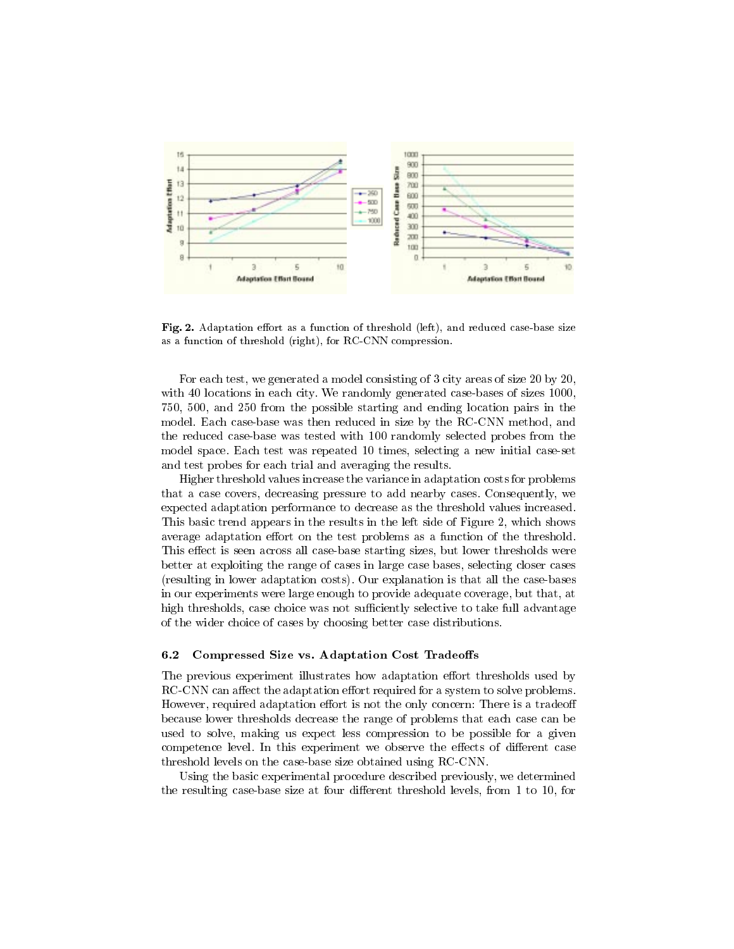

Fig. 2. Adaptation effort as a function of threshold (left), and reduced case-base size as a function of threshold (right), for RC-CNN compression.

For each test, we generated a model consisting of 3 city areas of size 20 by 20, with 40 locations in each city. We randomly generated case-bases of sizes 1000, 750, 500, and 250 from the possible starting and ending location pairs in the model. Each case-base was then reduced in size by the RC-CNN method, and the reduced case-base was tested with 100 randomly selected probes from the model space. Each test was repeated 10 times, selecting a new initial case-set and test probes for each trial and averaging the results.

Higher threshold values increase the variance in adaptation costs for problems that a case covers, decreasing pressure to add nearby cases. Consequently, we expected adaptation performance to decrease as the threshold values increased. This basic trend appears in the results in the left side of Figure 2, which shows average adaptation effort on the test problems as a function of the threshold. This effect is seen across all case-base starting sizes, but lower thresholds were better at exploiting the range of cases in large case bases, selecting closer cases (resulting in lower adaptation costs). Our explanation is that all the case-bases in our experiments were large enough to provide adequate coverage, but that, at high thresholds, case choice was not sufficiently selective to take full advantage of the wider choice of cases by choosing better case distributions.

#### Compressed Size vs. Adaptation Cost Tradeoffs 6.2

The previous experiment illustrates how adaptation effort thresholds used by RC-CNN can affect the adaptation effort required for a system to solve problems. However, required adaptation effort is not the only concern: There is a tradeoff because lower thresholds decrease the range of problems that each case can be used to solve, making us expect less compression to be possible for a given competence level. In this experiment we observe the effects of different case threshold levels on the case-base size obtained using RC-CNN.

Using the basic experimental procedure described previously, we determined the resulting case-base size at four different threshold levels, from 1 to 10, for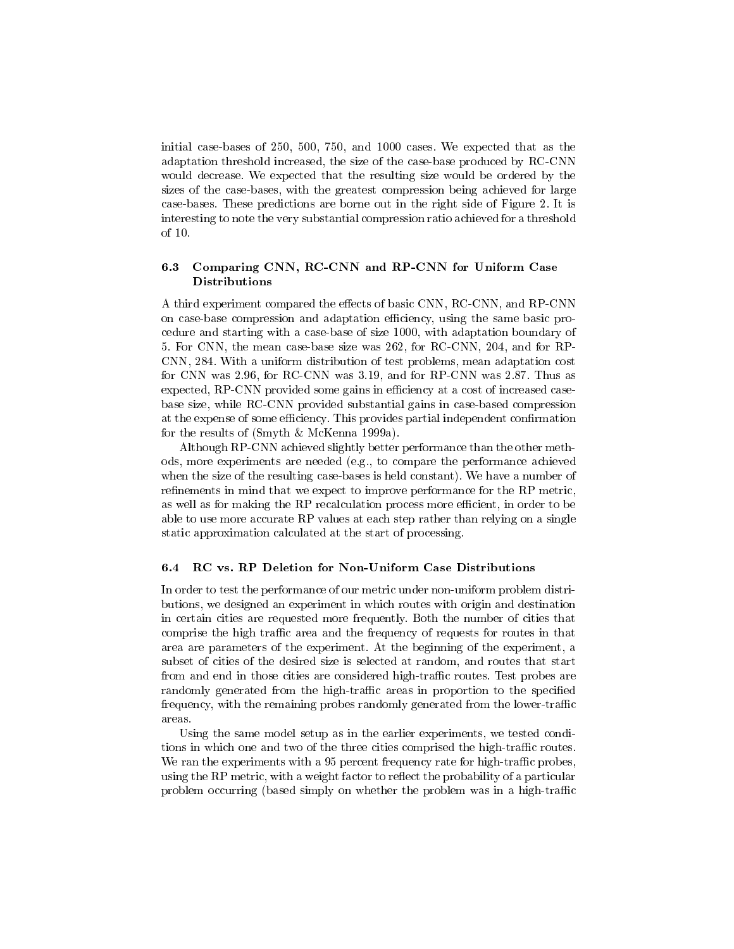initial case-bases of 250, 500, 750, and 1000 cases. We expected that as the adaptation threshold increased, the size of the case-base produced by RC-CNN would decrease. We expected that the resulting size would be ordered by the sizes of the case-bases, with the greatest compression being achieved for large case-bases. These predictions are borne out in the right side of Figure 2.It is interesting to note the very substantial compression ratio achieved for a threshold of 10.

### 6.3 Comparing CNN, RC-CNN and RP-CNN for Uniform Case Distributions

A third experiment compared the effects of basic CNN, RC-CNN, and RP-CNN on case-base compression and adaptation efficiency, using the same basic procedure and starting with a case-base of size 1000, with adaptation boundary of 5. For CNN, the mean case-base size was 262, for RC-CNN, 204, and for RP-CNN, 284. With a uniform distribution of test problems, mean adaptation cost for CNN was 2.96, for RC-CNN was 3.19, and for RP-CNN was 2.87. Thus as expected, RP-CNN provided some gains in efficiency at a cost of increased casebase size, while RC-CNN provided substantial gains in case-based compression at the expense of some efficiency. This provides partial independent confirmation for the results of (Smyth & McKenna 1999a).

Although RP-CNN achieved slightly better performance than the other methods, more experiments are needed (e.g., to compare the performance achieved when the size of the resulting case-bases is held constant). We have a number of refinements in mind that we expect to improve performance for the RP metric, as well as for making the RP recalculation process more efficient, in order to be able to use more accurate RP values at each step rather than relying on a single static approximation calculated at the start of processing.

### 6.4 RC vs. RP Deletion for Non-Uniform Case Distributions

In order to test the performance of our metric under non-uniform problem distributions, we designed an experiment in which routes with origin and destination in certain cities are requested more frequently. Both the number of cities that comprise the high traffic area and the frequency of requests for routes in that area are parameters of the experiment. At the beginning of the experiment, a subset of cities of the desired size is selected at random, and routes that start from and end in those cities are considered high-traffic routes. Test probes are randomly generated from the high-traffic areas in proportion to the specified frequency, with the remaining probes randomly generated from the lower-traffic areas.

Using the same model setup as in the earlier experiments, we tested conditions in which one and two of the three cities comprised the high-traffic routes. We ran the experiments with a 95 percent frequency rate for high-traffic probes, using the RP metric, with a weight factor to reflect the probability of a particular problem occurring (based simply on whether the problem was in a high-traffic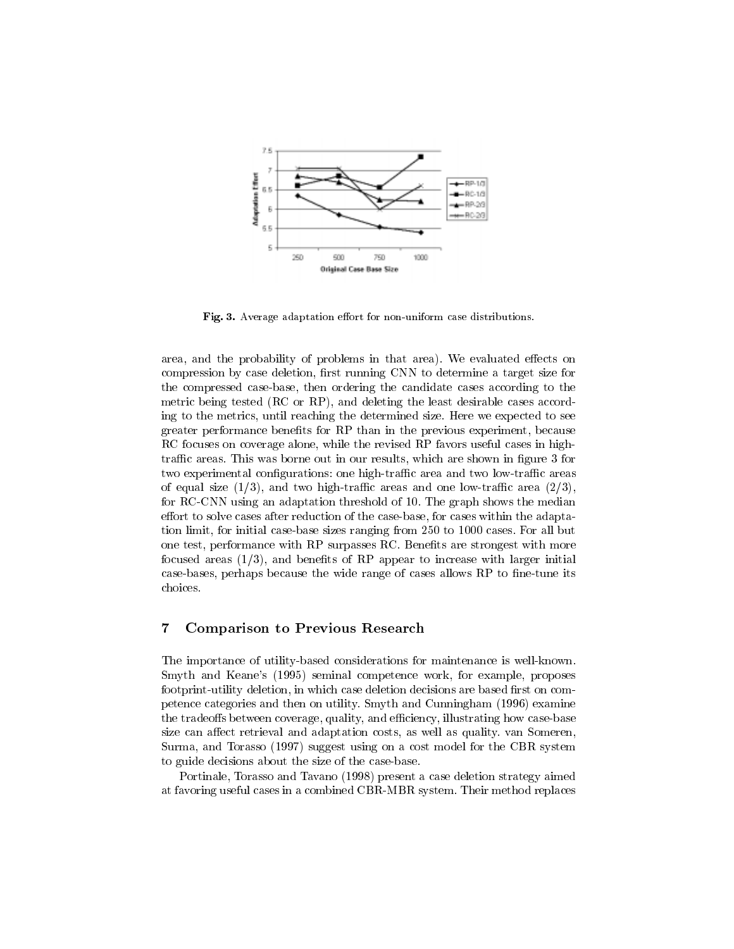

Fig. 3. Average adaptation effort for non-uniform case distributions.

area, and the probability of problems in that area). We evaluated effects on compression by case deletion, first running CNN to determine a target size for the compressed case-base, then ordering the candidate cases according to the metric being tested (RC or RP), and deleting the least desirable cases according to the metrics, until reaching the determined size. Here we expected to see greater performance benets for RP than in the previous experiment, because RC focuses on coverage alone, while the revised RP favors useful cases in hightraffic areas. This was borne out in our results, which are shown in figure 3 for two experimental configurations: one high-traffic area and two low-traffic areas of equal size  $(1/3)$ , and two high-traffic areas and one low-traffic area  $(2/3)$ , for RC-CNN using an adaptation threshold of 10. The graph shows the median effort to solve cases after reduction of the case-base, for cases within the adaptation limit, for initial case-base sizes ranging from 250 to 1000 cases. For all but one test, performance with RP surpasses RC. Benefits are strongest with more focused areas  $(1/3)$ , and benefits of RP appear to increase with larger initial case-bases, perhaps because the wide range of cases allows RP to fine-tune its choices.

#### $\overline{7}$ 7 Comparison to Previous Research

The importance of utility-based considerations for maintenance is well-known. Smyth and Keane's (1995) seminal competence work, for example, proposes footprint-utility deletion, in which case deletion decisions are based first on competence categories and then on utility. Smyth and Cunningham (1996) examine the tradeoffs between coverage, quality, and efficiency, illustrating how case-base size can affect retrieval and adaptation costs, as well as quality. van Someren, Surma, and Torasso (1997) suggest using on a cost model for the CBR system to guide decisions about the size of the case-base.

Portinale, Torasso and Tavano (1998) present a case deletion strategy aimed at favoring useful cases in a combined CBR-MBR system. Their method replaces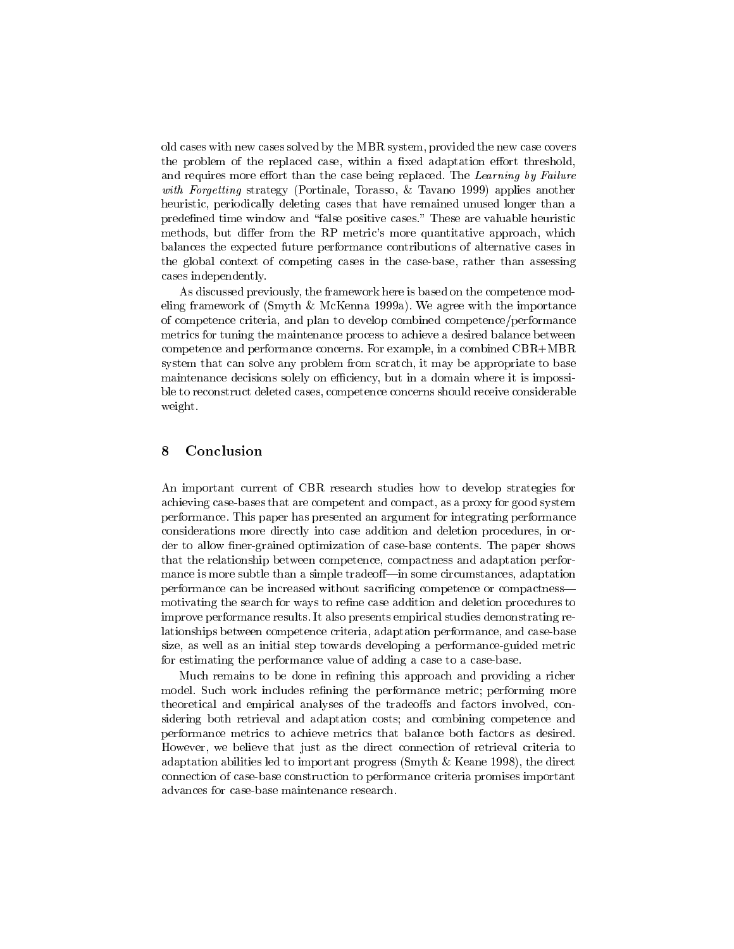old cases with new cases solved by the MBR system, provided the new case covers the problem of the replaced case, within a fixed adaptation effort threshold, and requires more effort than the case being replaced. The Learning by Failure with Forgetting strategy (Portinale, Torasso, & Tavano 1999) applies another heuristic, periodically deleting cases that have remained unused longer than a predefined time window and "false positive cases." These are valuable heuristic methods, but differ from the RP metric's more quantitative approach, which balances the expected future performance contributions of alternative cases in the global context of competing cases in the case-base, rather than assessing cases independently.

As discussed previously, the framework here is based on the competence modeling framework of (Smyth & McKenna 1999a). We agree with the importance of competence criteria, and plan to develop combined competence/performance metrics for tuning the maintenance process to achieve a desired balance between competence and performance concerns. For example, in a combined CBR+MBR system that can solve any problem from scratch, it may be appropriate to base maintenance decisions solely on efficiency, but in a domain where it is impossible to reconstruct deleted cases, competence concerns should receive considerable weight.

#### **Conclusion** 8

An important current of CBR research studies how to develop strategies for achieving case-bases that are competent and compact, as a proxy for good system performance. This paper has presented an argument for integrating performance considerations more directly into case addition and deletion procedures, in order to allow finer-grained optimization of case-base contents. The paper shows that the relationship between competence, compactness and adaptation performance is more subtle than a simple tradeoff-in some circumstances, adaptation performance can be increased without sacrificing competence or compactness motivating the search for ways to refine case addition and deletion procedures to improve performance results. It also presents empirical studies demonstrating relationships between competence criteria, adaptation performance, and case-base size, as well as an initial step towards developing a performance-guided metric for estimating the performance value of adding a case to a case-base.

Much remains to be done in refining this approach and providing a richer model. Such work includes refining the performance metric; performing more theoretical and empirical analyses of the tradeoffs and factors involved, considering both retrieval and adaptation costs; and combining competence and performance metrics to achieve metrics that balance both factors as desired. However, we believe that just as the direct connection of retrieval criteria to adaptation abilities led to important progress (Smyth & Keane 1998), the direct connection of case-base construction to performance criteria promises important advances for case-base maintenance research.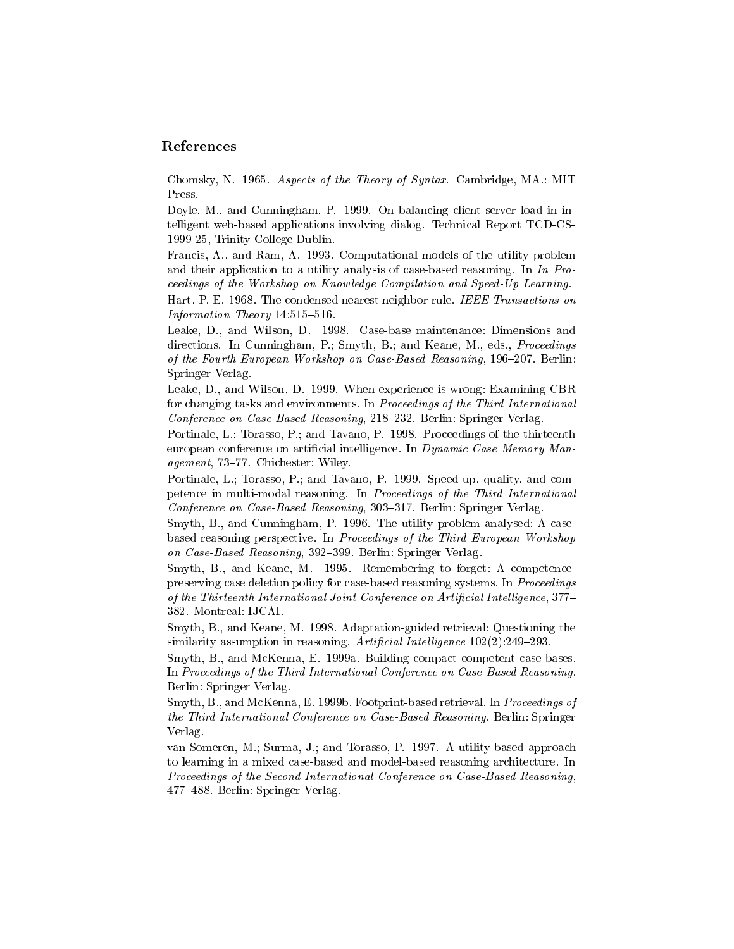## References

Chomsky, N. 1965. Aspects of the Theory of Syntax. Cambridge, MA.: MIT Press.

Doyle, M., and Cunningham, P. 1999. On balancing client-server load in intelligent web-based applications involving dialog. Technical Report TCD-CS-1999-25, Trinity College Dublin.

Francis, A., and Ram, A. 1993. Computational models of the utility problem and their application to a utility analysis of case-based reasoning. In In Proceedings of the Workshop on Knowledge Compilation and Speed-Up Learning.

Hart, P. E. 1968. The condensed nearest neighbor rule. IEEE Transactions on Information Theory  $14:515-516$ .

Leake, D., and Wilson, D. 1998. Case-base maintenance: Dimensions and directions. In Cunningham, P.; Smyth, B.; and Keane, M., eds., *Proceedings* of the Fourth European Workshop on Case-Based Reasoning,  $196-207$ . Berlin: Springer Verlag.

Leake, D., and Wilson, D. 1999. When experience is wrong: Examining CBR for changing tasks and environments. In Proceedings of the Third International Conference on Case-Based Reasoning, 218-232. Berlin: Springer Verlag.

Portinale, L.; Torasso, P.; and Tavano, P. 1998. Proceedings of the thirteenth european conference on artificial intelligence. In Dynamic Case Memory Management, 73-77. Chichester: Wiley.

Portinale, L.; Torasso, P.; and Tavano, P. 1999. Speed-up, quality, and competence in multi-modal reasoning. In Proceedings of the Third International Conference on Case-Based Reasoning, 303-317. Berlin: Springer Verlag.

Smyth, B., and Cunningham, P. 1996. The utility problem analysed: A casebased reasoning perspective. In Proceedings of the Third European Workshop on Case-Based Reasoning, 392-399. Berlin: Springer Verlag.

Smyth, B., and Keane, M. 1995. Remembering to forget: A competencepreserving case deletion policy for case-based reasoning systems. In Proceedings of the Thirteenth International Joint Conference on Artificial Intelligence, 377– 382. Montreal: IJCAI.

Smyth, B., and Keane, M. 1998. Adaptation-guided retrieval: Questioning the similarity assumption in reasoning. Artificial Intelligence  $102(2):249-293$ .

Smyth, B., and McKenna, E. 1999a. Building compact competent case-bases. In Proceedings of the Third International Conference on Case-Based Reasoning. Berlin: Springer Verlag.

Smyth, B., and McKenna, E. 1999b. Footprint-based retrieval. In Proceedings of the Third International Conference on Case-Based Reasoning. Berlin: Springer Verlag.

van Someren, M.; Surma, J.; and Torasso, P. 1997. A utility-based approach to learning in a mixed case-based and model-based reasoning architecture. In Proceedings of the Second International Conference on Case-Based Reasoning, 477-488. Berlin: Springer Verlag.